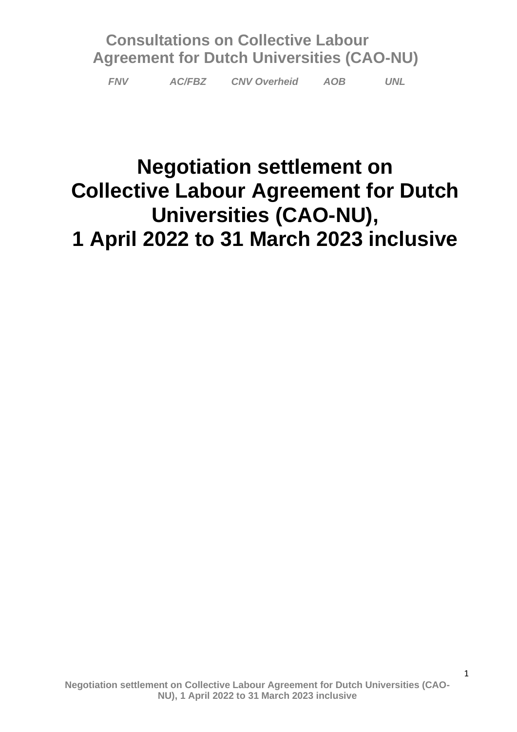*FNV AC/FBZ CNV Overheid AOB UNL*

# **Negotiation settlement on Collective Labour Agreement for Dutch Universities (CAO-NU), 1 April 2022 to 31 March 2023 inclusive**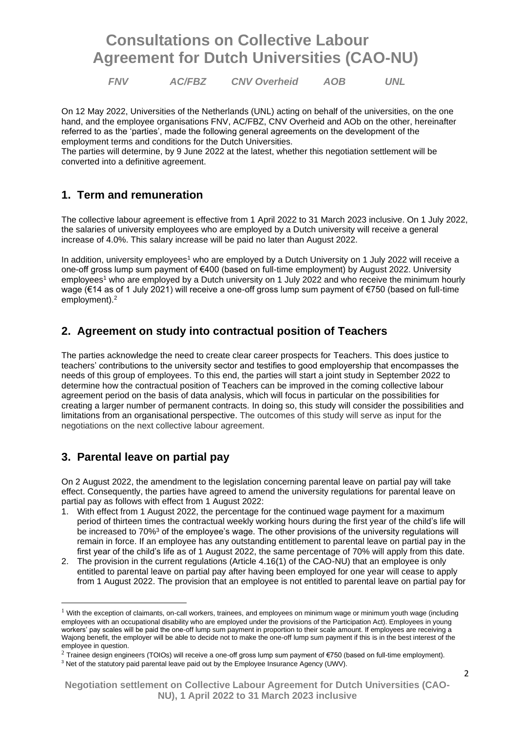*FNV AC/FBZ CNV Overheid AOB UNL*

On 12 May 2022, Universities of the Netherlands (UNL) acting on behalf of the universities, on the one hand, and the employee organisations FNV, AC/FBZ, CNV Overheid and AOb on the other, hereinafter referred to as the 'parties', made the following general agreements on the development of the employment terms and conditions for the Dutch Universities.

The parties will determine, by 9 June 2022 at the latest, whether this negotiation settlement will be converted into a definitive agreement.

### **1. Term and remuneration**

The collective labour agreement is effective from 1 April 2022 to 31 March 2023 inclusive. On 1 July 2022, the salaries of university employees who are employed by a Dutch university will receive a general increase of 4.0%. This salary increase will be paid no later than August 2022.

In addition, university employees<sup>1</sup> who are employed by a Dutch University on 1 July 2022 will receive a one-off gross lump sum payment of €400 (based on full-time employment) by August 2022. University employees<sup>1</sup> who are employed by a Dutch university on 1 July 2022 and who receive the minimum hourly wage (€14 as of 1 July 2021) will receive a one-off gross lump sum payment of €750 (based on full-time employment).<sup>2</sup>

### **2. Agreement on study into contractual position of Teachers**

The parties acknowledge the need to create clear career prospects for Teachers. This does justice to teachers' contributions to the university sector and testifies to good employership that encompasses the needs of this group of employees. To this end, the parties will start a joint study in September 2022 to determine how the contractual position of Teachers can be improved in the coming collective labour agreement period on the basis of data analysis, which will focus in particular on the possibilities for creating a larger number of permanent contracts. In doing so, this study will consider the possibilities and limitations from an organisational perspective. The outcomes of this study will serve as input for the negotiations on the next collective labour agreement.

### **3. Parental leave on partial pay**

On 2 August 2022, the amendment to the legislation concerning parental leave on partial pay will take effect. Consequently, the parties have agreed to amend the university regulations for parental leave on partial pay as follows with effect from 1 August 2022:

- 1. With effect from 1 August 2022, the percentage for the continued wage payment for a maximum period of thirteen times the contractual weekly working hours during the first year of the child's life will be increased to 70%<sup>3</sup> of the employee's wage. The other provisions of the university regulations will remain in force. If an employee has any outstanding entitlement to parental leave on partial pay in the first year of the child's life as of 1 August 2022, the same percentage of 70% will apply from this date.
- 2. The provision in the current regulations (Article 4.16(1) of the CAO-NU) that an employee is only entitled to parental leave on partial pay after having been employed for one year will cease to apply from 1 August 2022. The provision that an employee is not entitled to parental leave on partial pay for

 $1$  With the exception of claimants, on-call workers, trainees, and employees on minimum wage or minimum youth wage (including employees with an occupational disability who are employed under the provisions of the Participation Act). Employees in young workers' pay scales will be paid the one-off lump sum payment in proportion to their scale amount. If employees are receiving a Wajong benefit, the employer will be able to decide not to make the one-off lump sum payment if this is in the best interest of the employee in question.

<sup>&</sup>lt;sup>2</sup> Trainee design engineers (TOIOs) will receive a one-off gross lump sum payment of €750 (based on full-time employment).

<sup>3</sup> Net of the statutory paid parental leave paid out by the Employee Insurance Agency (UWV).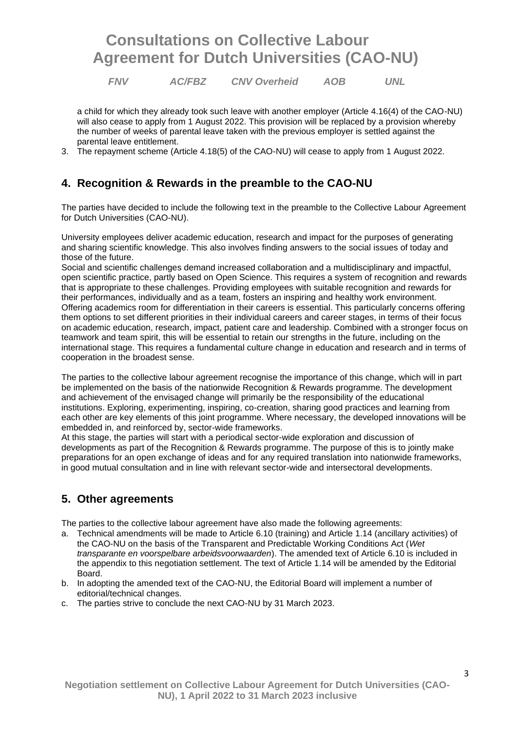*FNV AC/FBZ CNV Overheid AOB UNL*

a child for which they already took such leave with another employer (Article 4.16(4) of the CAO-NU) will also cease to apply from 1 August 2022. This provision will be replaced by a provision whereby the number of weeks of parental leave taken with the previous employer is settled against the parental leave entitlement.

3. The repayment scheme (Article 4.18(5) of the CAO-NU) will cease to apply from 1 August 2022.

### **4. Recognition & Rewards in the preamble to the CAO-NU**

The parties have decided to include the following text in the preamble to the Collective Labour Agreement for Dutch Universities (CAO-NU).

University employees deliver academic education, research and impact for the purposes of generating and sharing scientific knowledge. This also involves finding answers to the social issues of today and those of the future.

Social and scientific challenges demand increased collaboration and a multidisciplinary and impactful, open scientific practice, partly based on Open Science. This requires a system of recognition and rewards that is appropriate to these challenges. Providing employees with suitable recognition and rewards for their performances, individually and as a team, fosters an inspiring and healthy work environment. Offering academics room for differentiation in their careers is essential. This particularly concerns offering them options to set different priorities in their individual careers and career stages, in terms of their focus on academic education, research, impact, patient care and leadership. Combined with a stronger focus on teamwork and team spirit, this will be essential to retain our strengths in the future, including on the international stage. This requires a fundamental culture change in education and research and in terms of cooperation in the broadest sense.

The parties to the collective labour agreement recognise the importance of this change, which will in part be implemented on the basis of the nationwide Recognition & Rewards programme. The development and achievement of the envisaged change will primarily be the responsibility of the educational institutions. Exploring, experimenting, inspiring, co-creation, sharing good practices and learning from each other are key elements of this joint programme. Where necessary, the developed innovations will be embedded in, and reinforced by, sector-wide frameworks.

At this stage, the parties will start with a periodical sector-wide exploration and discussion of developments as part of the Recognition & Rewards programme. The purpose of this is to jointly make preparations for an open exchange of ideas and for any required translation into nationwide frameworks, in good mutual consultation and in line with relevant sector-wide and intersectoral developments.

### **5. Other agreements**

The parties to the collective labour agreement have also made the following agreements:

- a. Technical amendments will be made to Article 6.10 (training) and Article 1.14 (ancillary activities) of the CAO-NU on the basis of the Transparent and Predictable Working Conditions Act (*Wet transparante en voorspelbare arbeidsvoorwaarden*). The amended text of Article 6.10 is included in the appendix to this negotiation settlement. The text of Article 1.14 will be amended by the Editorial Board.
- b. In adopting the amended text of the CAO-NU, the Editorial Board will implement a number of editorial/technical changes.
- c. The parties strive to conclude the next CAO-NU by 31 March 2023.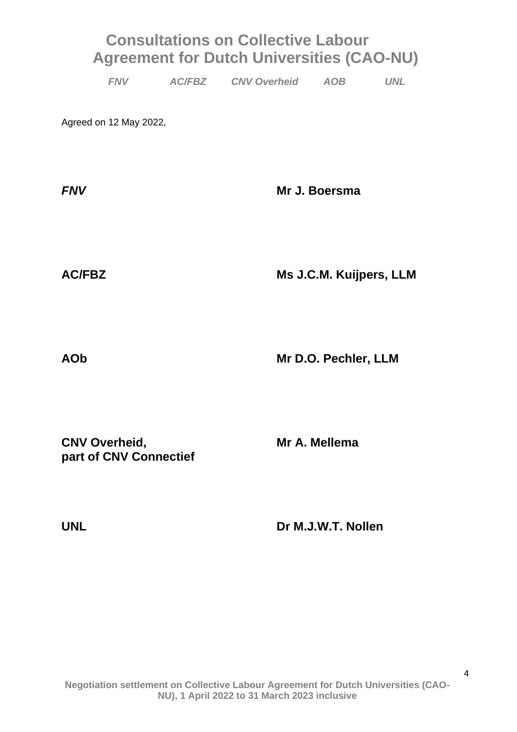|  | <b>FNV</b> | <b>AC/FBZ</b> | <b>CNV Overheid</b> | AOB | <b>UNL</b> |
|--|------------|---------------|---------------------|-----|------------|
|--|------------|---------------|---------------------|-----|------------|

Agreed on 12 May 2022,

| <b>FNV</b> | Mr J. Boersma |  |  |
|------------|---------------|--|--|
|            |               |  |  |
|            |               |  |  |

**AC/FBZ Ms J.C.M. Kuijpers, LLM**

**AOb Mr D.O. Pechler, LLM**

**CNV Overheid, Mr A. Mellema part of CNV Connectief**

**UNL Dr M.J.W.T. Nollen**